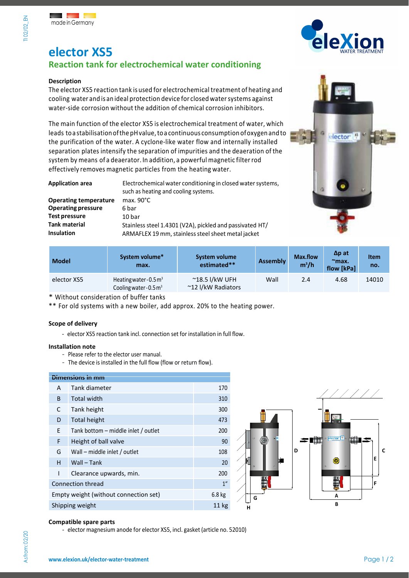

# **elector XS5**

## **Reaction tank for electrochemical water conditioning**

#### **Description**

TI 02/02 EN

The elector XS5 reaction tank is used for electrochemical treatment of heating and cooling water and is an ideal protection device for closed water systems against water-side corrosion without the addition of chemical corrosion inhibitors.

The main function of the elector XS5 is electrochemical treatment of water, which leads toa stabilisation ofthe pHvalue, toa continuous consumption ofoxygen and to the purification of the water. A cyclone-like water flow and internally installed separation plates intensify the separation of impurities and the deaeration of the system by means of a deaerator. In addition, a powerful magnetic filter rod effectively removes magnetic particles from the heating water.

| <b>Application area</b>      | Electrochemical water conditioning in closed water systems,<br>such as heating and cooling systems. |  |  |
|------------------------------|-----------------------------------------------------------------------------------------------------|--|--|
| <b>Operating temperature</b> | max. $90^{\circ}$ C                                                                                 |  |  |
| <b>Operating pressure</b>    | 6 bar                                                                                               |  |  |
| <b>Test pressure</b>         | 10 bar                                                                                              |  |  |
| <b>Tank material</b>         | Stainless steel 1.4301 (V2A), pickled and passivated HT/                                            |  |  |
| <b>Insulation</b>            | ARMAFLEX 19 mm, stainless steel sheet metal jacket                                                  |  |  |



| <b>Model</b> | System volume*<br>max.                                                 | System volume<br>estimated**                  | <b>Assembly</b> | <b>Max.flow</b><br>$m^3/h$ | $\Delta p$ at<br>$max$<br>flow [kPa] | <b>Item</b><br>no. |
|--------------|------------------------------------------------------------------------|-----------------------------------------------|-----------------|----------------------------|--------------------------------------|--------------------|
| elector XS5  | Heating water - $0.5 \text{ m}^3$<br>Cooling water - $0.5 \text{ m}^3$ | $^{\sim}$ 18.5 l/kW UFH<br>~12 I/kW Radiators | Wall            | 2.4                        | 4.68                                 | 14010              |

\* Without consideration of buffer tanks

\*\* For old systems with a new boiler, add approx. 20% to the heating power.

#### **Scope of delivery**

- elector XS5 reaction tank incl. connection set for installation in full flow.

#### **Installation note**

- Please refer to the elector user manual.
- The device is installed in the full flow (flow or return flow).

### **Dimensions in mm**  A Tank diameter 170 B Total width 310 C Tank height 300 D Total height 473 E Tank bottom – middle inlet / outlet 200 F Height of ball valve 80 and 100 and 100 and 100 and 100 and 100 and 100 and 100 and 100 and 100 and 100 and 100 and 100 and 100 and 100 and 100 and 100 and 100 and 100 and 100 and 100 and 100 and 100 and 100 and 100 and G Wall – middle inlet / outlet 108 H Wall – Tank 20 I Clearance upwards, min. 200 **Connection thread 1"** 2007 1" Empty weight (without connection set) 6.8 kg Shipping weight 11 kg



#### **Compatible spare parts**

- elector magnesium anode for elector XS5, incl. gasket (article no. 52010)